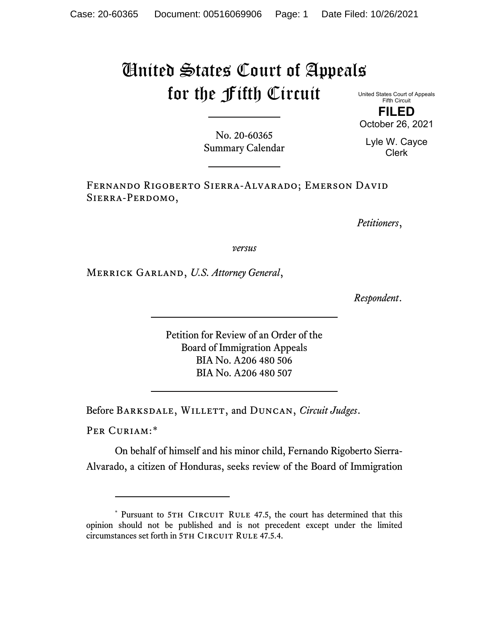## United States Court of Appeals for the Fifth Circuit

United States Court of Appeals Fifth Circuit **FILED**

October 26, 2021

No. 20-60365 Summary Calendar

Lyle W. Cayce Clerk

Fernando Rigoberto Sierra-Alvarado; Emerson David Sierra-Perdomo,

*Petitioners*,

*versus*

Merrick Garland, *U.S. Attorney General*,

*Respondent*.

Petition for Review of an Order of the Board of Immigration Appeals BIA No. A206 480 506 BIA No. A206 480 507

Before BARKSDALE, WILLETT, and DUNCAN, *Circuit Judges*.

PER CURIAM:[\\*](#page-0-0)

On behalf of himself and his minor child, Fernando Rigoberto Sierra-Alvarado, a citizen of Honduras, seeks review of the Board of Immigration

<span id="page-0-0"></span><sup>\*</sup> Pursuant to 5TH CIRCUIT RULE 47.5, the court has determined that this opinion should not be published and is not precedent except under the limited circumstances set forth in 5TH CIRCUIT RULE 47.5.4.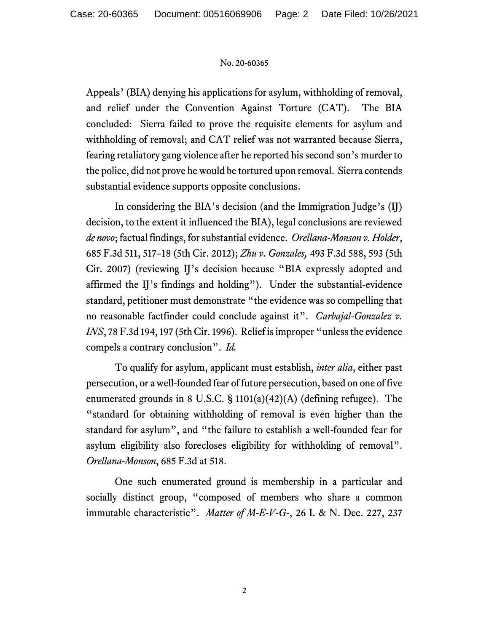## No. 20-60365

Appeals' (BIA) denying his applications for asylum, withholding of removal, and relief under the Convention Against Torture (CAT). The BIA concluded: Sierra failed to prove the requisite elements for asylum and withholding of removal; and CAT relief was not warranted because Sierra, fearing retaliatory gang violence after he reported his second son's murder to the police, did not prove he would be tortured upon removal. Sierra contends substantial evidence supports opposite conclusions.

In considering the BIA's decision (and the Immigration Judge's (IJ) decision, to the extent it influenced the BIA), legal conclusions are reviewed *de novo*; factual findings, for substantial evidence. *Orellana-Monson v. Holder*, 685 F.3d 511, 517–18 (5th Cir. 2012); *Zhu v. Gonzales,* 493 F.3d 588, 593 (5th Cir. 2007) (reviewing IJ's decision because "BIA expressly adopted and affirmed the IJ's findings and holding").Under the substantial-evidence standard, petitioner must demonstrate "the evidence was so compelling that no reasonable factfinder could conclude against it". *Carbajal-Gonzalez v. INS*, 78 F.3d 194, 197 (5th Cir. 1996). Relief is improper "unless the evidence compels a contrary conclusion". *Id.*

To qualify for asylum, applicant must establish, *inter alia*, either past persecution, or a well-founded fear of future persecution, based on one of five enumerated grounds in 8 U.S.C. § 1101(a)(42)(A) (defining refugee). The "standard for obtaining withholding of removal is even higher than the standard for asylum", and "the failure to establish a well-founded fear for asylum eligibility also forecloses eligibility for withholding of removal". *Orellana-Monson*, 685 F.3d at 518.

One such enumerated ground is membership in a particular and socially distinct group, "composed of members who share a common immutable characteristic". *Matter of M-E-V-G-*, 26 I. & N. Dec. 227, 237